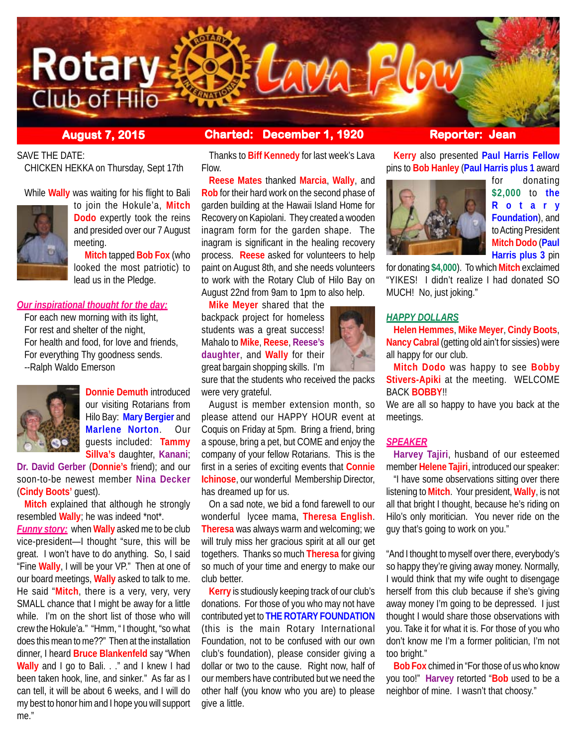

**August 7, 2015 Charted: December 1, 1920 Reporter: Jean**

SAVE THE DATE:

CHICKEN HEKKA on Thursday, Sept 17th

While **Wally** was waiting for his flight to Bali



to join the Hokule'a, **Mitch Dodo** expertly took the reins and presided over our 7 August meeting.

**Mitch** tapped **Bob Fox** (who looked the most patriotic) to lead us in the Pledge.

## *Our inspirational thought for the day:*

For each new morning with its light, For rest and shelter of the night, For health and food, for love and friends, For everything Thy goodness sends. --Ralph Waldo Emerson



**Donnie Demuth** introduced our visiting Rotarians from Hilo Bay: **Mary Bergier** and **Marlene Norton**. Our guests included: **Tammy Sillva's** daughter, **Kanani**;

**Dr. David Gerber** (**Donnie's** friend); and our soon-to-be newest member **Nina Decker** (**Cindy Boots'** guest).

**Mitch** explained that although he strongly resembled **Wally**; he was indeed \*not\*.

*Funny story:* when **Wally** asked me to be club vice-president—I thought "sure, this will be great. I won't have to do anything. So, I said "Fine **Wally**, I will be your VP." Then at one of our board meetings, **Wally** asked to talk to me. He said "**Mitch**, there is a very, very, very SMALL chance that I might be away for a little while. I'm on the short list of those who will crew the Hokule'a." "Hmm, " I thought, "so what does this mean to me??" Then at the installation dinner, I heard **Bruce Blankenfeld** say "When **Wally** and I go to Bali. . ." and I knew I had been taken hook, line, and sinker." As far as I can tell, it will be about 6 weeks, and I will do my best to honor him and I hope you will support me."

Thanks to **Biff Kennedy** for last week's Lava Flow.

**Reese Mates** thanked **Marcia**, **Wally**, and **Rob** for their hard work on the second phase of garden building at the Hawaii Island Home for Recovery on Kapiolani. They created a wooden inagram form for the garden shape. The inagram is significant in the healing recovery process. **Reese** asked for volunteers to help paint on August 8th, and she needs volunteers to work with the Rotary Club of Hilo Bay on August 22nd from 9am to 1pm to also help.

**Mike Meyer** shared that the backpack project for homeless students was a great success! Mahalo to **Mike**, **Reese**, **Reese's daughter**, and **Wally** for their great bargain shopping skills. I'm

sure that the students who received the packs were very grateful.

August is member extension month, so please attend our HAPPY HOUR event at Coquis on Friday at 5pm. Bring a friend, bring a spouse, bring a pet, but COME and enjoy the company of your fellow Rotarians. This is the first in a series of exciting events that **Connie Ichinose**, our wonderful Membership Director, has dreamed up for us.

On a sad note, we bid a fond farewell to our wonderful lycee mama, **Theresa English**. **Theresa** was always warm and welcoming; we will truly miss her gracious spirit at all our get togethers. Thanks so much **Theresa** for giving so much of your time and energy to make our club better.

**Kerry** is studiously keeping track of our club's donations. For those of you who may not have contributed yet to **THE ROTARY FOUNDATION** (this is the main Rotary International Foundation, not to be confused with our own club's foundation), please consider giving a dollar or two to the cause. Right now, half of our members have contributed but we need the other half (you know who you are) to please give a little.

**Kerry** also presented **Paul Harris Fellow** pins to **Bob Hanley** (**Paul Harris plus 1** award



for donating **\$2,000** to **the Rotary Foundation**), and to Acting President **Mitch Dodo** (**Paul Harris plus 3** pin

for donating **\$4,000**). To which **Mitch** exclaimed "YIKES! I didn't realize I had donated SO MUCH! No, just joking."

# *HAPPY DOLLARS*

**Helen Hemmes**, **Mike Meyer**, **Cindy Boots**, **Nancy Cabral** (getting old ain't for sissies) were all happy for our club.

**Mitch Dodo** was happy to see **Bobby Stivers-Apiki** at the meeting. WELCOME BACK **BOBBY**!!

We are all so happy to have you back at the meetings.

# *SPEAKER*

**Harvey Tajiri**, husband of our esteemed member **Helene Tajiri**, introduced our speaker:

"I have some observations sitting over there listening to **Mitch**. Your president, **Wally**, is not all that bright I thought, because he's riding on Hilo's only moritician. You never ride on the guy that's going to work on you."

"And I thought to myself over there, everybody's so happy they're giving away money. Normally, I would think that my wife ought to disengage herself from this club because if she's giving away money I'm going to be depressed. I just thought I would share those observations with you. Take it for what it is. For those of you who don't know me I'm a former politician, I'm not too bright."

**Bob Fox** chimed in "For those of us who know you too!" **Harvey** retorted "**Bob** used to be a neighbor of mine. I wasn't that choosy."

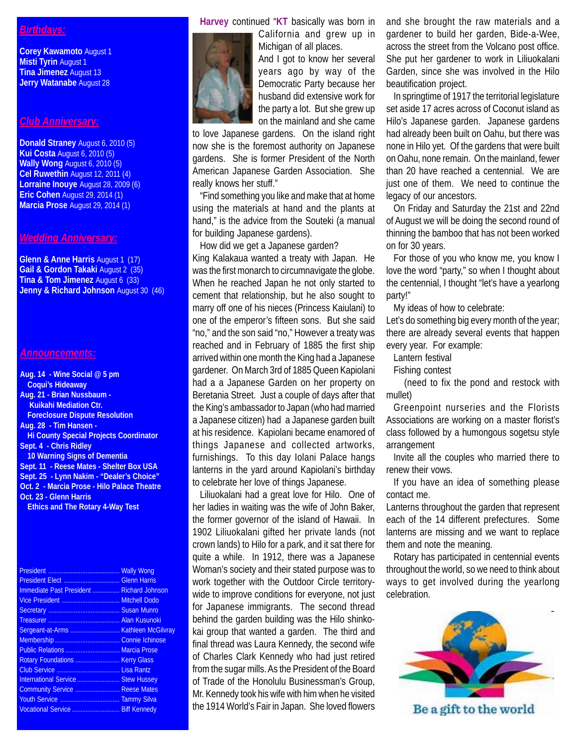# *Birthdays:*

**Corey Kawamoto** August 1 **Misti Tyrin** August 1 **Tina Jimenez** August 13 **Jerry Watanabe** August 28

#### *Club Anniversary:*

**Donald Straney** August 6, 2010 (5) **Kui Costa** August 6, 2010 (5) **Wally Wong** August 6, 2010 (5) **Cel Ruwethin** August 12, 2011 (4) **Lorraine Inouye** August 28, 2009 (6) **Eric Cohen** August 29, 2014 (1) **Marcia Prose** August 29, 2014 (1)

# *Wedding Anniversary:*

**Glenn & Anne Harris** August 1 (17) **Gail & Gordon Takaki** August 2 (35) **Tina & Tom Jimenez** August 6 (33) **Jenny & Richard Johnson** August 30 (46)

### *Announcements:*

**Aug. 14 - Wine Social @ 5 pm Coqui's Hideaway Aug. 21 - Brian Nussbaum - Kuikahi Mediation Ctr. Foreclosure Dispute Resolution Aug. 28 - Tim Hansen - Hi County Special Projects Coordinator Sept. 4 - Chris Ridley 10 Warning Signs of Dementia Sept. 11 - Reese Mates - Shelter Box USA Sept. 25 - Lynn Nakim - "Dealer's Choice" Oct. 2 - Marcia Prose - Hilo Palace Theatre Oct. 23 - Glenn Harris Ethics and The Rotary 4-Way Test**

|                                           | <b>Wally Wong</b> |
|-------------------------------------------|-------------------|
|                                           |                   |
| Immediate Past President  Richard Johnson |                   |
|                                           |                   |
|                                           |                   |
|                                           |                   |
|                                           |                   |
|                                           |                   |
| Public Relations  Marcia Prose            |                   |
| Rotary Foundations  Kerry Glass           |                   |
|                                           |                   |
| International Service  Stew Hussey        |                   |
| Community Service  Reese Mates            |                   |
|                                           |                   |
| Vocational Service  Biff Kennedy          |                   |
|                                           |                   |

**Harvey** continued "**KT** basically was born in



California and grew up in Michigan of all places. And I got to know her several years ago by way of the

Democratic Party because her husband did extensive work for the party a lot. But she grew up on the mainland and she came

to love Japanese gardens. On the island right now she is the foremost authority on Japanese gardens. She is former President of the North American Japanese Garden Association. She really knows her stuff."

"Find something you like and make that at home using the materials at hand and the plants at hand," is the advice from the Souteki (a manual for building Japanese gardens).

How did we get a Japanese garden? King Kalakaua wanted a treaty with Japan. He was the first monarch to circumnavigate the globe. When he reached Japan he not only started to cement that relationship, but he also sought to marry off one of his nieces (Princess Kaiulani) to one of the emperor's fifteen sons. But she said "no," and the son said "no," However a treaty was reached and in February of 1885 the first ship arrived within one month the King had a Japanese gardener. On March 3rd of 1885 Queen Kapiolani had a a Japanese Garden on her property on Beretania Street. Just a couple of days after that the King's ambassador to Japan (who had married a Japanese citizen) had a Japanese garden built at his residence. Kapiolani became enamored of things Japanese and collected artworks, furnishings. To this day Iolani Palace hangs lanterns in the yard around Kapiolani's birthday to celebrate her love of things Japanese.

Liliuokalani had a great love for Hilo. One of her ladies in waiting was the wife of John Baker, the former governor of the island of Hawaii. In 1902 Liliuokalani gifted her private lands (not crown lands) to Hilo for a park, and it sat there for quite a while. In 1912, there was a Japanese Woman's society and their stated purpose was to work together with the Outdoor Circle territorywide to improve conditions for everyone, not just for Japanese immigrants. The second thread behind the garden building was the Hilo shinkokai group that wanted a garden. The third and final thread was Laura Kennedy, the second wife of Charles Clark Kennedy who had just retired from the sugar mills. As the President of the Board of Trade of the Honolulu Businessman's Group, Mr. Kennedy took his wife with him when he visited the 1914 World's Fair in Japan. She loved flowers and she brought the raw materials and a gardener to build her garden, Bide-a-Wee, across the street from the Volcano post office. She put her gardener to work in Liliuokalani Garden, since she was involved in the Hilo beautification project.

In springtime of 1917 the territorial legislature set aside 17 acres across of Coconut island as Hilo's Japanese garden. Japanese gardens had already been built on Oahu, but there was none in Hilo yet. Of the gardens that were built on Oahu, none remain. On the mainland, fewer than 20 have reached a centennial. We are just one of them. We need to continue the legacy of our ancestors.

On Friday and Saturday the 21st and 22nd of August we will be doing the second round of thinning the bamboo that has not been worked on for 30 years.

For those of you who know me, you know I love the word "party," so when I thought about the centennial, I thought "let's have a yearlong party!"

My ideas of how to celebrate:

Let's do something big every month of the year; there are already several events that happen every year. For example:

Lantern festival

Fishing contest

(need to fix the pond and restock with mullet)

Greenpoint nurseries and the Florists Associations are working on a master florist's class followed by a humongous sogetsu style arrangement

Invite all the couples who married there to renew their vows.

If you have an idea of something please contact me.

Lanterns throughout the garden that represent each of the 14 different prefectures. Some lanterns are missing and we want to replace them and note the meaning.

Rotary has participated in centennial events throughout the world, so we need to think about ways to get involved during the yearlong celebration.



Be a gift to the world